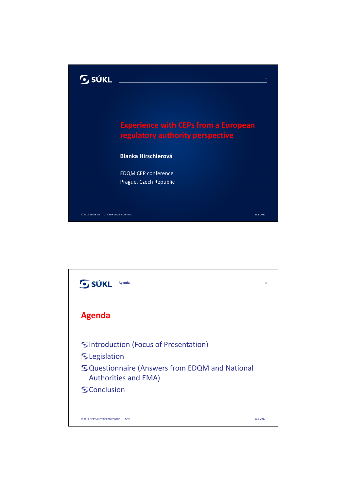

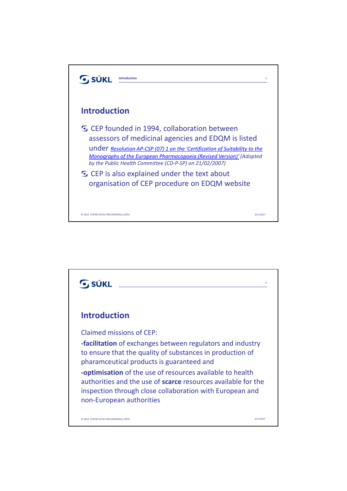

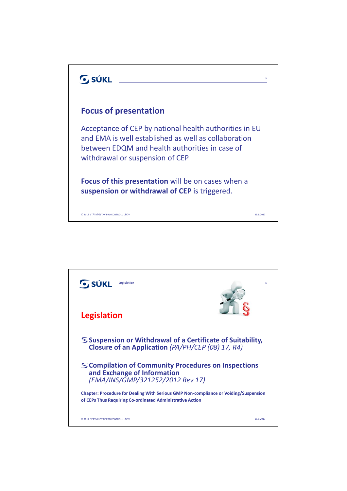

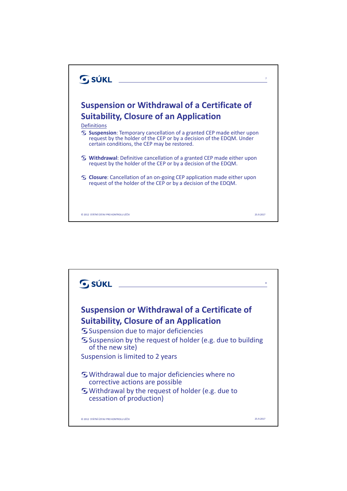

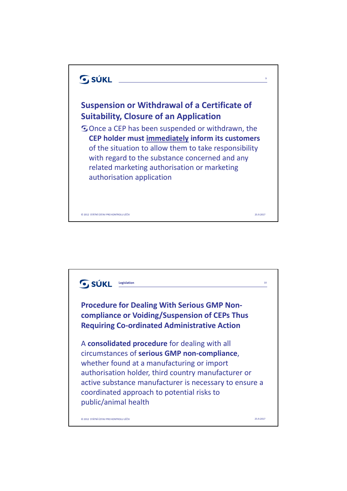

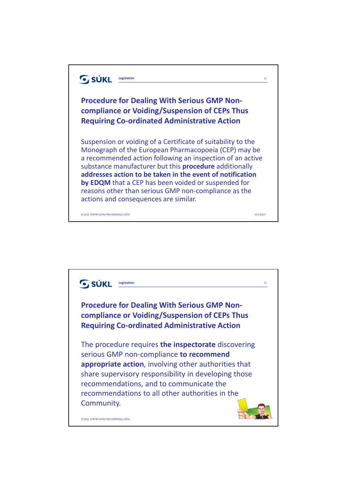

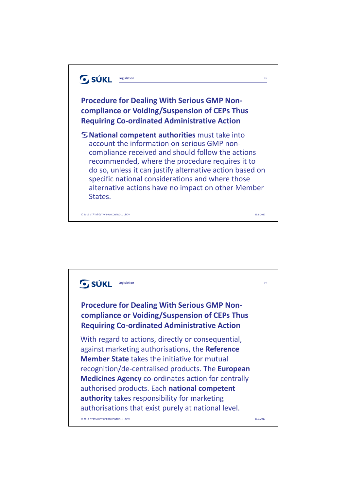

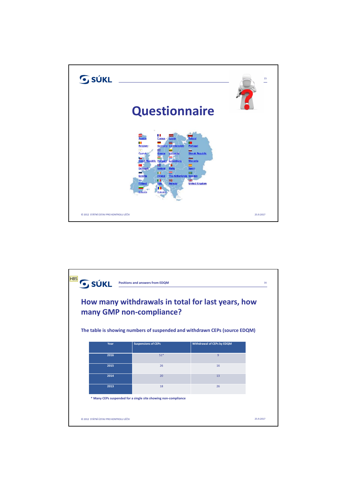

| HB <sub>5</sub><br><b>SÚKL</b><br><b>Positions and answers from EDQM</b><br>16<br>How many withdrawals in total for last years, how<br>many GMP non-compliance?<br>The table is showing numbers of suspended and withdrawn CEPs (source EDQM) |                            |                            |           |
|-----------------------------------------------------------------------------------------------------------------------------------------------------------------------------------------------------------------------------------------------|----------------------------|----------------------------|-----------|
| Year                                                                                                                                                                                                                                          | <b>Suspensions of CEPs</b> | Withdrawal of CEPs by EDQM |           |
| 2016                                                                                                                                                                                                                                          | $51*$                      | 9                          |           |
| 2015                                                                                                                                                                                                                                          | 26                         | 16                         |           |
| 2014                                                                                                                                                                                                                                          | 20                         | 13                         |           |
| 2013                                                                                                                                                                                                                                          | 18                         | 26                         |           |
| * Many CEPs suspended for a single site showing non-compliance                                                                                                                                                                                |                            |                            |           |
| C 2012 STÁTNÍ ÚSTAV PRO KONTROLU LÉČIV                                                                                                                                                                                                        |                            |                            | 25.9.2017 |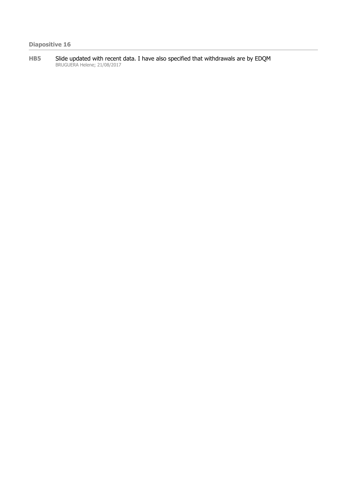**HB5** Slide updated with recent data. I have also specified that withdrawals are by EDQM BRUGUERA Helene; 21/08/2017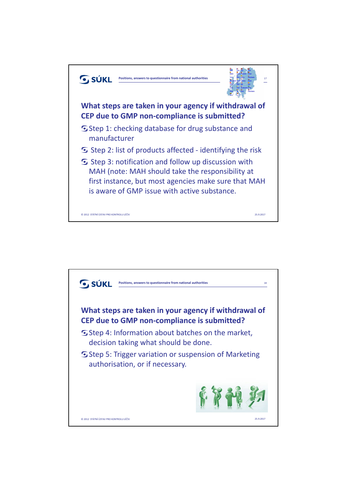

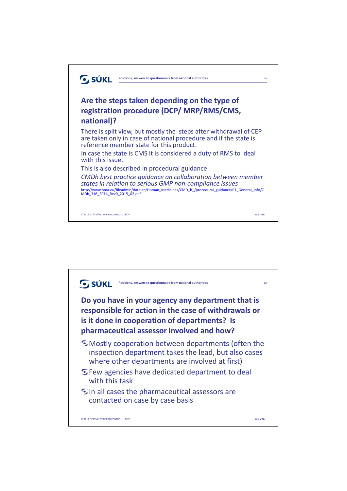

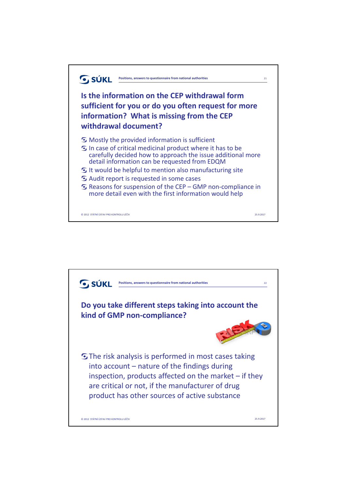

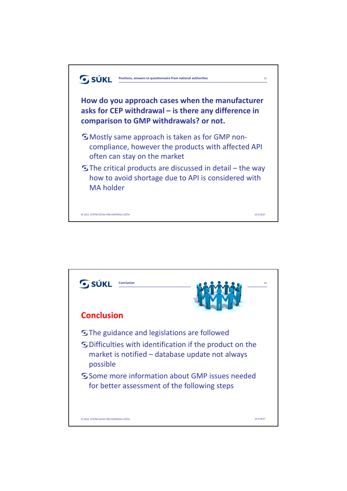

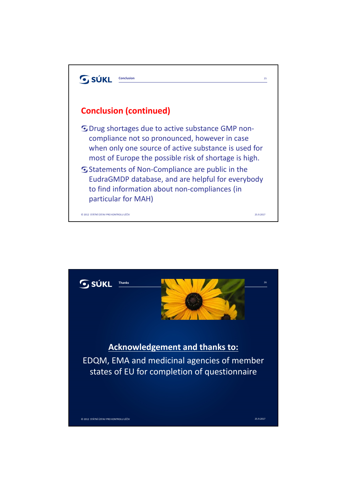